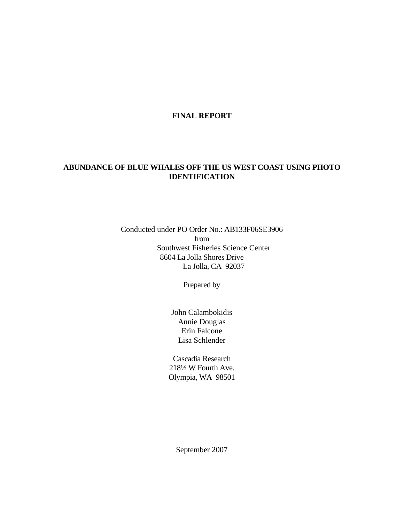## **FINAL REPORT**

# **ABUNDANCE OF BLUE WHALES OFF THE US WEST COAST USING PHOTO IDENTIFICATION**

Conducted under PO Order No.: AB133F06SE3906 from Southwest Fisheries Science Center 8604 La Jolla Shores Drive La Jolla, CA 92037

Prepared by

John Calambokidis Annie Douglas Erin Falcone Lisa Schlender

Cascadia Research 218½ W Fourth Ave. Olympia, WA 98501

September 2007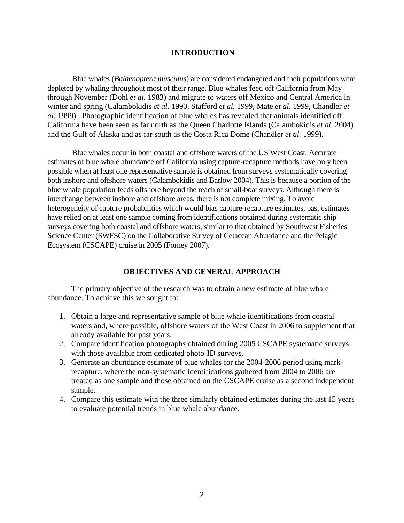## **INTRODUCTION**

 Blue whales (*Balaenoptera musculus*) are considered endangered and their populations were depleted by whaling throughout most of their range. Blue whales feed off California from May through November (Dohl *et al.* 1983) and migrate to waters off Mexico and Central America in winter and spring (Calambokidis *et al.* 1990, Stafford *et al.* 1999, Mate *et al.* 1999, Chandler *et al.* 1999). Photographic identification of blue whales has revealed that animals identified off California have been seen as far north as the Queen Charlotte Islands (Calambokidis *et al.* 2004) and the Gulf of Alaska and as far south as the Costa Rica Dome (Chandler *et al.* 1999).

 Blue whales occur in both coastal and offshore waters of the US West Coast. Accurate estimates of blue whale abundance off California using capture-recapture methods have only been possible when at least one representative sample is obtained from surveys systematically covering both inshore and offshore waters (Calambokidis and Barlow 2004). This is because a portion of the blue whale population feeds offshore beyond the reach of small-boat surveys. Although there is interchange between inshore and offshore areas, there is not complete mixing. To avoid heterogeneity of capture probabilities which would bias capture-recapture estimates, past estimates have relied on at least one sample coming from identifications obtained during systematic ship surveys covering both coastal and offshore waters, similar to that obtained by Southwest Fisheries Science Center (SWFSC) on the Collaborative Survey of Cetacean Abundance and the Pelagic Ecosystem (CSCAPE) cruise in 2005 (Forney 2007).

## **OBJECTIVES AND GENERAL APPROACH**

The primary objective of the research was to obtain a new estimate of blue whale abundance. To achieve this we sought to:

- 1. Obtain a large and representative sample of blue whale identifications from coastal waters and, where possible, offshore waters of the West Coast in 2006 to supplement that already available for past years.
- 2. Compare identification photographs obtained during 2005 CSCAPE systematic surveys with those available from dedicated photo-ID surveys.
- 3. Generate an abundance estimate of blue whales for the 2004-2006 period using markrecapture, where the non-systematic identifications gathered from 2004 to 2006 are treated as one sample and those obtained on the CSCAPE cruise as a second independent sample.
- 4. Compare this estimate with the three similarly obtained estimates during the last 15 years to evaluate potential trends in blue whale abundance.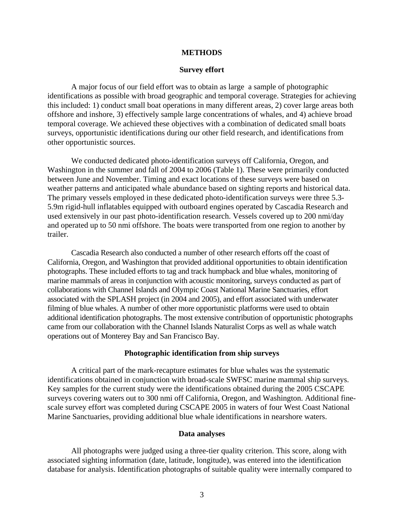#### **METHODS**

#### **Survey effort**

A major focus of our field effort was to obtain as large a sample of photographic identifications as possible with broad geographic and temporal coverage. Strategies for achieving this included: 1) conduct small boat operations in many different areas, 2) cover large areas both offshore and inshore, 3) effectively sample large concentrations of whales, and 4) achieve broad temporal coverage. We achieved these objectives with a combination of dedicated small boats surveys, opportunistic identifications during our other field research, and identifications from other opportunistic sources.

We conducted dedicated photo-identification surveys off California, Oregon, and Washington in the summer and fall of 2004 to 2006 (Table 1). These were primarily conducted between June and November. Timing and exact locations of these surveys were based on weather patterns and anticipated whale abundance based on sighting reports and historical data. The primary vessels employed in these dedicated photo-identification surveys were three 5.3- 5.9m rigid-hull inflatables equipped with outboard engines operated by Cascadia Research and used extensively in our past photo-identification research. Vessels covered up to 200 nmi/day and operated up to 50 nmi offshore. The boats were transported from one region to another by trailer.

 Cascadia Research also conducted a number of other research efforts off the coast of California, Oregon, and Washington that provided additional opportunities to obtain identification photographs. These included efforts to tag and track humpback and blue whales, monitoring of marine mammals of areas in conjunction with acoustic monitoring, surveys conducted as part of collaborations with Channel Islands and Olympic Coast National Marine Sanctuaries, effort associated with the SPLASH project (in 2004 and 2005), and effort associated with underwater filming of blue whales. A number of other more opportunistic platforms were used to obtain additional identification photographs. The most extensive contribution of opportunistic photographs came from our collaboration with the Channel Islands Naturalist Corps as well as whale watch operations out of Monterey Bay and San Francisco Bay.

### **Photographic identification from ship surveys**

 A critical part of the mark-recapture estimates for blue whales was the systematic identifications obtained in conjunction with broad-scale SWFSC marine mammal ship surveys. Key samples for the current study were the identifications obtained during the 2005 CSCAPE surveys covering waters out to 300 nmi off California, Oregon, and Washington. Additional finescale survey effort was completed during CSCAPE 2005 in waters of four West Coast National Marine Sanctuaries, providing additional blue whale identifications in nearshore waters.

#### **Data analyses**

 All photographs were judged using a three-tier quality criterion. This score, along with associated sighting information (date, latitude, longitude), was entered into the identification database for analysis. Identification photographs of suitable quality were internally compared to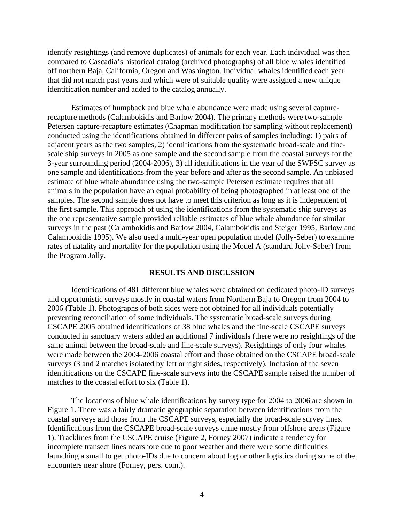identify resightings (and remove duplicates) of animals for each year. Each individual was then compared to Cascadia's historical catalog (archived photographs) of all blue whales identified off northern Baja, California, Oregon and Washington. Individual whales identified each year that did not match past years and which were of suitable quality were assigned a new unique identification number and added to the catalog annually.

 Estimates of humpback and blue whale abundance were made using several capturerecapture methods (Calambokidis and Barlow 2004). The primary methods were two-sample Petersen capture-recapture estimates (Chapman modification for sampling without replacement) conducted using the identifications obtained in different pairs of samples including: 1) pairs of adjacent years as the two samples, 2) identifications from the systematic broad-scale and finescale ship surveys in 2005 as one sample and the second sample from the coastal surveys for the 3-year surrounding period (2004-2006), 3) all identifications in the year of the SWFSC survey as one sample and identifications from the year before and after as the second sample. An unbiased estimate of blue whale abundance using the two-sample Petersen estimate requires that all animals in the population have an equal probability of being photographed in at least one of the samples. The second sample does not have to meet this criterion as long as it is independent of the first sample. This approach of using the identifications from the systematic ship surveys as the one representative sample provided reliable estimates of blue whale abundance for similar surveys in the past (Calambokidis and Barlow 2004, Calambokidis and Steiger 1995, Barlow and Calambokidis 1995). We also used a multi-year open population model (Jolly-Seber) to examine rates of natality and mortality for the population using the Model A (standard Jolly-Seber) from the Program Jolly.

# **RESULTS AND DISCUSSION**

Identifications of 481 different blue whales were obtained on dedicated photo-ID surveys and opportunistic surveys mostly in coastal waters from Northern Baja to Oregon from 2004 to 2006 (Table 1). Photographs of both sides were not obtained for all individuals potentially preventing reconciliation of some individuals. The systematic broad-scale surveys during CSCAPE 2005 obtained identifications of 38 blue whales and the fine-scale CSCAPE surveys conducted in sanctuary waters added an additional 7 individuals (there were no resightings of the same animal between the broad-scale and fine-scale surveys). Resightings of only four whales were made between the 2004-2006 coastal effort and those obtained on the CSCAPE broad-scale surveys (3 and 2 matches isolated by left or right sides, respectively). Inclusion of the seven identifications on the CSCAPE fine-scale surveys into the CSCAPE sample raised the number of matches to the coastal effort to six (Table 1).

The locations of blue whale identifications by survey type for 2004 to 2006 are shown in Figure 1. There was a fairly dramatic geographic separation between identifications from the coastal surveys and those from the CSCAPE surveys, especially the broad-scale survey lines. Identifications from the CSCAPE broad-scale surveys came mostly from offshore areas (Figure 1). Tracklines from the CSCAPE cruise (Figure 2, Forney 2007) indicate a tendency for incomplete transect lines nearshore due to poor weather and there were some difficulties launching a small to get photo-IDs due to concern about fog or other logistics during some of the encounters near shore (Forney, pers. com.).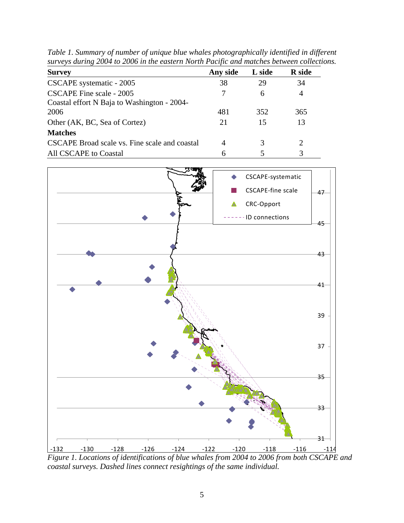| <b>Survey</b>                                 | Any side | L side | <b>R</b> side |
|-----------------------------------------------|----------|--------|---------------|
| CSCAPE systematic - 2005                      | 38       | 29     | 34            |
| CSCAPE Fine scale - 2005                      |          | 6      | 4             |
| Coastal effort N Baja to Washington - 2004-   |          |        |               |
| 2006                                          | 481      | 352    | 365           |
| Other (AK, BC, Sea of Cortez)                 | 21       | 15     | 13            |
| <b>Matches</b>                                |          |        |               |
| CSCAPE Broad scale vs. Fine scale and coastal | 4        |        | 2             |
| All CSCAPE to Coastal                         |          |        |               |

*Table 1. Summary of number of unique blue whales photographically identified in different surveys during 2004 to 2006 in the eastern North Pacific and matches between collections.* 



*Figure 1. Locations of identifications of blue whales from 2004 to 2006 from both CSCAPE and coastal surveys. Dashed lines connect resightings of the same individual.*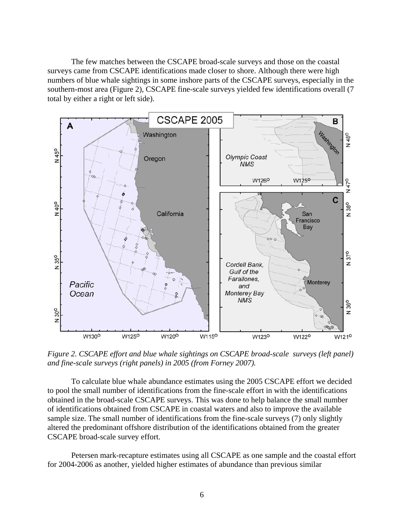The few matches between the CSCAPE broad-scale surveys and those on the coastal surveys came from CSCAPE identifications made closer to shore. Although there were high numbers of blue whale sightings in some inshore parts of the CSCAPE surveys, especially in the southern-most area (Figure 2), CSCAPE fine-scale surveys yielded few identifications overall (7 total by either a right or left side).



*Figure 2. CSCAPE effort and blue whale sightings on CSCAPE broad-scale surveys (left panel) and fine-scale surveys (right panels) in 2005 (from Forney 2007).* 

To calculate blue whale abundance estimates using the 2005 CSCAPE effort we decided to pool the small number of identifications from the fine-scale effort in with the identifications obtained in the broad-scale CSCAPE surveys. This was done to help balance the small number of identifications obtained from CSCAPE in coastal waters and also to improve the available sample size. The small number of identifications from the fine-scale surveys (7) only slightly altered the predominant offshore distribution of the identifications obtained from the greater CSCAPE broad-scale survey effort.

Petersen mark-recapture estimates using all CSCAPE as one sample and the coastal effort for 2004-2006 as another, yielded higher estimates of abundance than previous similar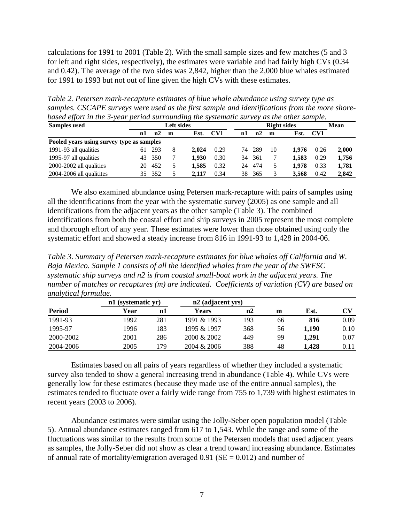calculations for 1991 to 2001 (Table 2). With the small sample sizes and few matches (5 and 3 for left and right sides, respectively), the estimates were variable and had fairly high CVs (0.34 and 0.42). The average of the two sides was 2,842, higher than the 2,000 blue whales estimated for 1991 to 1993 but not out of line given the high CVs with these estimates.

*Table 2. Petersen mark-recapture estimates of blue whale abundance using survey type as samples. CSCAPE surveys were used as the first sample and identifications from the more shorebased effort in the 3-year period surrounding the systematic survey as the other sample.* 

| .<br><b>Samples</b> used                  | Left sides |     |   |       |      |    | <b>Right sides</b> |    |       |      | Mean  |  |
|-------------------------------------------|------------|-----|---|-------|------|----|--------------------|----|-------|------|-------|--|
|                                           | n1         | n2  | m | Est.  | CV1  | n1 | n2                 | m  | Est.  | CV1  |       |  |
| Pooled years using survey type as samples |            |     |   |       |      |    |                    |    |       |      |       |  |
| 1991-93 all qualities                     | 61         | 293 | 8 | 2.024 | 0.29 |    | 74 289             | 10 | 1.976 | 0.26 | 2.000 |  |
| 1995-97 all qualities                     | 43         | 350 |   | 1.930 | 0.30 | 34 | 361                |    | 1.583 | 0.29 | 1.756 |  |
| 2000-2002 all qualities                   | 20.        | 452 |   | 1.585 | 0.32 | 24 | 474                |    | 1.978 | 0.33 | 1,781 |  |
| 2004-2006 all qualitites                  | 35.        | 352 |   | 2.117 | 0.34 | 38 | 365                |    | 3.568 | 0.42 | 2,842 |  |

We also examined abundance using Petersen mark-recapture with pairs of samples using all the identifications from the year with the systematic survey (2005) as one sample and all identifications from the adjacent years as the other sample (Table 3). The combined identifications from both the coastal effort and ship surveys in 2005 represent the most complete and thorough effort of any year. These estimates were lower than those obtained using only the systematic effort and showed a steady increase from 816 in 1991-93 to 1,428 in 2004-06.

*Table 3. Summary of Petersen mark-recapture estimates for blue whales off California and W. Baja Mexico. Sample 1 consists of all the identified whales from the year of the SWFSC systematic ship surveys and n2 is from coastal small-boat work in the adjacent years. The number of matches or recaptures (m) are indicated. Coefficients of variation (CV) are based on analytical formulae.* 

|           | n1 (systematic yr) |     | n2 (adjacent yrs) |     |    |       |      |
|-----------|--------------------|-----|-------------------|-----|----|-------|------|
| Period    | Year               | nl  | Years             | n2  | m  | Est.  | CV   |
| 1991-93   | 1992               | 281 | 1991 & 1993       | 193 | 66 | 816   | 0.09 |
| 1995-97   | 1996               | 183 | 1995 & 1997       | 368 | 56 | 1.190 | 0.10 |
| 2000-2002 | 2001               | 286 | $2000 \& 2002$    | 449 | 99 | 1.291 | 0.07 |
| 2004-2006 | 2005               | 179 | 2004 & 2006       | 388 | 48 | 1.428 | 0.11 |

Estimates based on all pairs of years regardless of whether they included a systematic survey also tended to show a general increasing trend in abundance (Table 4). While CVs were generally low for these estimates (because they made use of the entire annual samples), the estimates tended to fluctuate over a fairly wide range from 755 to 1,739 with highest estimates in recent years (2003 to 2006).

Abundance estimates were similar using the Jolly-Seber open population model (Table 5). Annual abundance estimates ranged from 617 to 1,543. While the range and some of the fluctuations was similar to the results from some of the Petersen models that used adjacent years as samples, the Jolly-Seber did not show as clear a trend toward increasing abundance. Estimates of annual rate of mortality/emigration averaged  $0.91$  (SE = 0.012) and number of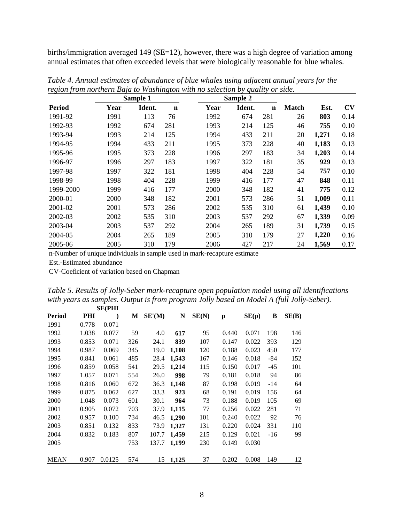births/immigration averaged 149 (SE=12), however, there was a high degree of variation among annual estimates that often exceeded levels that were biologically reasonable for blue whales.

| Sample 1      |      |        |             |      | Sample 2 |             |              |       |      |
|---------------|------|--------|-------------|------|----------|-------------|--------------|-------|------|
| <b>Period</b> | Year | Ident. | $\mathbf n$ | Year | Ident.   | $\mathbf n$ | <b>Match</b> | Est.  | CV   |
| 1991-92       | 1991 | 113    | 76          | 1992 | 674      | 281         | 26           | 803   | 0.14 |
| 1992-93       | 1992 | 674    | 281         | 1993 | 214      | 125         | 46           | 755   | 0.10 |
| 1993-94       | 1993 | 214    | 125         | 1994 | 433      | 211         | 20           | 1,271 | 0.18 |
| 1994-95       | 1994 | 433    | 211         | 1995 | 373      | 228         | 40           | 1,183 | 0.13 |
| 1995-96       | 1995 | 373    | 228         | 1996 | 297      | 183         | 34           | 1,203 | 0.14 |
| 1996-97       | 1996 | 297    | 183         | 1997 | 322      | 181         | 35           | 929   | 0.13 |
| 1997-98       | 1997 | 322    | 181         | 1998 | 404      | 228         | 54           | 757   | 0.10 |
| 1998-99       | 1998 | 404    | 228         | 1999 | 416      | 177         | 47           | 848   | 0.11 |
| 1999-2000     | 1999 | 416    | 177         | 2000 | 348      | 182         | 41           | 775   | 0.12 |
| 2000-01       | 2000 | 348    | 182         | 2001 | 573      | 286         | 51           | 1,009 | 0.11 |
| 2001-02       | 2001 | 573    | 286         | 2002 | 535      | 310         | 61           | 1,439 | 0.10 |
| 2002-03       | 2002 | 535    | 310         | 2003 | 537      | 292         | 67           | 1,339 | 0.09 |
| 2003-04       | 2003 | 537    | 292         | 2004 | 265      | 189         | 31           | 1,739 | 0.15 |
| 2004-05       | 2004 | 265    | 189         | 2005 | 310      | 179         | 27           | 1,220 | 0.16 |
| 2005-06       | 2005 | 310    | 179         | 2006 | 427      | 217         | 24           | 1,569 | 0.17 |

*Table 4. Annual estimates of abundance of blue whales using adjacent annual years for the region from northern Baja to Washington with no selection by quality or side.* 

n-Number of unique individuals in sample used in mark-recapture estimate

Est.-Estimated abundance

CV-Coeficient of variation based on Chapman

|                                                                                          | Table 5. Results of Jolly-Seber mark-recapture open population model using all identifications |
|------------------------------------------------------------------------------------------|------------------------------------------------------------------------------------------------|
| with years as samples. Output is from program Jolly based on Model A (full Jolly-Seber). |                                                                                                |

|             |       | <b>SE(PHI</b> |     |        |       |       |       |       |       |       |
|-------------|-------|---------------|-----|--------|-------|-------|-------|-------|-------|-------|
| Period      | PHI   |               | M   | SE'(M) | N     | SE(N) | p     | SE(p) | B     | SE(B) |
| 1991        | 0.778 | 0.071         |     |        |       |       |       |       |       |       |
| 1992        | 1.038 | 0.077         | 59  | 4.0    | 617   | 95    | 0.440 | 0.071 | 198   | 146   |
| 1993        | 0.853 | 0.071         | 326 | 24.1   | 839   | 107   | 0.147 | 0.022 | 393   | 129   |
| 1994        | 0.987 | 0.069         | 345 | 19.0   | 1,108 | 120   | 0.188 | 0.023 | 450   | 177   |
| 1995        | 0.841 | 0.061         | 485 | 28.4   | 1,543 | 167   | 0.146 | 0.018 | -84   | 152   |
| 1996        | 0.859 | 0.058         | 541 | 29.5   | 1,214 | 115   | 0.150 | 0.017 | $-45$ | 101   |
| 1997        | 1.057 | 0.071         | 554 | 26.0   | 998   | 79    | 0.181 | 0.018 | 94    | 86    |
| 1998        | 0.816 | 0.060         | 672 | 36.3   | 1,148 | 87    | 0.198 | 0.019 | -14   | 64    |
| 1999        | 0.875 | 0.062         | 627 | 33.3   | 923   | 68    | 0.191 | 0.019 | 156   | 64    |
| 2000        | 1.048 | 0.073         | 601 | 30.1   | 964   | 73    | 0.188 | 0.019 | 105   | 69    |
| 2001        | 0.905 | 0.072         | 703 | 37.9   | 1,115 | 77    | 0.256 | 0.022 | 281   | 71    |
| 2002        | 0.957 | 0.100         | 734 | 46.5   | 1,290 | 101   | 0.240 | 0.022 | 92    | 76    |
| 2003        | 0.851 | 0.132         | 833 | 73.9   | 1,327 | 131   | 0.220 | 0.024 | 331   | 110   |
| 2004        | 0.832 | 0.183         | 807 | 107.7  | 1,459 | 215   | 0.129 | 0.021 | $-16$ | 99    |
| 2005        |       |               | 753 | 137.7  | 1,199 | 230   | 0.149 | 0.030 |       |       |
|             |       |               |     |        |       |       |       |       |       |       |
| <b>MEAN</b> | 0.907 | 0.0125        | 574 | 15     | 1,125 | 37    | 0.202 | 0.008 | 149   | 12    |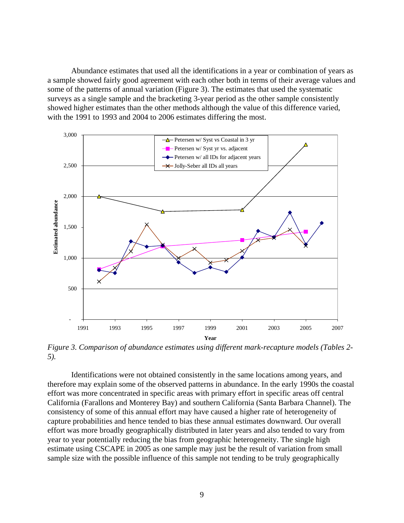Abundance estimates that used all the identifications in a year or combination of years as a sample showed fairly good agreement with each other both in terms of their average values and some of the patterns of annual variation (Figure 3). The estimates that used the systematic surveys as a single sample and the bracketing 3-year period as the other sample consistently showed higher estimates than the other methods although the value of this difference varied, with the 1991 to 1993 and 2004 to 2006 estimates differing the most.



*Figure 3. Comparison of abundance estimates using different mark-recapture models (Tables 2- 5).* 

Identifications were not obtained consistently in the same locations among years, and therefore may explain some of the observed patterns in abundance. In the early 1990s the coastal effort was more concentrated in specific areas with primary effort in specific areas off central California (Farallons and Monterey Bay) and southern California (Santa Barbara Channel). The consistency of some of this annual effort may have caused a higher rate of heterogeneity of capture probabilities and hence tended to bias these annual estimates downward. Our overall effort was more broadly geographically distributed in later years and also tended to vary from year to year potentially reducing the bias from geographic heterogeneity. The single high estimate using CSCAPE in 2005 as one sample may just be the result of variation from small sample size with the possible influence of this sample not tending to be truly geographically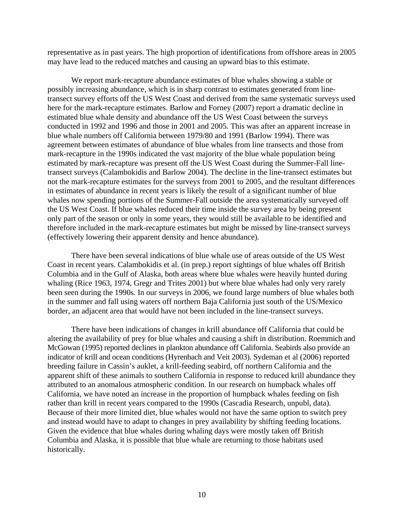representative as in past years. The high proportion of identifications from offshore areas in 2005 may have lead to the reduced matches and causing an upward bias to this estimate.

We report mark-recapture abundance estimates of blue whales showing a stable or possibly increasing abundance, which is in sharp contrast to estimates generated from linetransect survey efforts off the US West Coast and derived from the same systematic surveys used here for the mark-recapture estimates. Barlow and Forney (2007) report a dramatic decline in estimated blue whale density and abundance off the US West Coast between the surveys conducted in 1992 and 1996 and those in 2001 and 2005. This was after an apparent increase in blue whale numbers off California between 1979/80 and 1991 (Barlow 1994). There was agreement between estimates of abundance of blue whales from line transects and those from mark-recapture in the 1990s indicated the vast majority of the blue whale population being estimated by mark-recapture was present off the US West Coast during the Summer-Fall linetransect surveys (Calambokidis and Barlow 2004). The decline in the line-transect estimates but not the mark-recapture estimates for the surveys from 2001 to 2005, and the resultant differences in estimates of abundance in recent years is likely the result of a significant number of blue whales now spending portions of the Summer-Fall outside the area systematically surveyed off the US West Coast. If blue whales reduced their time inside the survey area by being present only part of the season or only in some years, they would still be available to be identified and therefore included in the mark-recapture estimates but might be missed by line-transect surveys (effectively lowering their apparent density and hence abundance).

There have been several indications of blue whale use of areas outside of the US West Coast in recent years. Calambokidis et al. (in prep.) report sightings of blue whales off British Columbia and in the Gulf of Alaska, both areas where blue whales were heavily hunted during whaling (Rice 1963, 1974, Gregr and Trites 2001) but where blue whales had only very rarely been seen during the 1990s. In our surveys in 2006, we found large numbers of blue whales both in the summer and fall using waters off northern Baja California just south of the US/Mexico border, an adjacent area that would have not been included in the line-transect surveys.

There have been indications of changes in krill abundance off California that could be altering the availability of prey for blue whales and causing a shift in distribution. Roemmich and McGowan (1995) reported declines in plankton abundance off California. Seabirds also provide an indicator of krill and ocean conditions (Hyrenbach and Veit 2003). Sydeman et al (2006) reported breeding failure in Cassin's auklet, a krill-feeding seabird, off northern California and the apparent shift of these animals to southern California in response to reduced krill abundance they attributed to an anomalous atmospheric condition. In our research on humpback whales off California, we have noted an increase in the proportion of humpback whales feeding on fish rather than krill in recent years compared to the 1990s (Cascadia Research, unpubl, data). Because of their more limited diet, blue whales would not have the same option to switch prey and instead would have to adapt to changes in prey availability by shifting feeding locations. Given the evidence that blue whales during whaling days were mostly taken off British Columbia and Alaska, it is possible that blue whale are returning to those habitats used historically.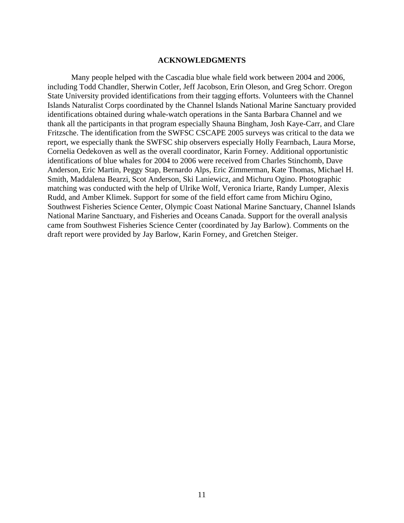## **ACKNOWLEDGMENTS**

 Many people helped with the Cascadia blue whale field work between 2004 and 2006, including Todd Chandler, Sherwin Cotler, Jeff Jacobson, Erin Oleson, and Greg Schorr. Oregon State University provided identifications from their tagging efforts. Volunteers with the Channel Islands Naturalist Corps coordinated by the Channel Islands National Marine Sanctuary provided identifications obtained during whale-watch operations in the Santa Barbara Channel and we thank all the participants in that program especially Shauna Bingham, Josh Kaye-Carr, and Clare Fritzsche. The identification from the SWFSC CSCAPE 2005 surveys was critical to the data we report, we especially thank the SWFSC ship observers especially Holly Fearnbach, Laura Morse, Cornelia Oedekoven as well as the overall coordinator, Karin Forney. Additional opportunistic identifications of blue whales for 2004 to 2006 were received from Charles Stinchomb, Dave Anderson, Eric Martin, Peggy Stap, Bernardo Alps, Eric Zimmerman, Kate Thomas, Michael H. Smith, Maddalena Bearzi, Scot Anderson, Ski Laniewicz, and Michuru Ogino. Photographic matching was conducted with the help of Ulrike Wolf, Veronica Iriarte, Randy Lumper, Alexis Rudd, and Amber Klimek. Support for some of the field effort came from Michiru Ogino, Southwest Fisheries Science Center, Olympic Coast National Marine Sanctuary, Channel Islands National Marine Sanctuary, and Fisheries and Oceans Canada. Support for the overall analysis came from Southwest Fisheries Science Center (coordinated by Jay Barlow). Comments on the draft report were provided by Jay Barlow, Karin Forney, and Gretchen Steiger.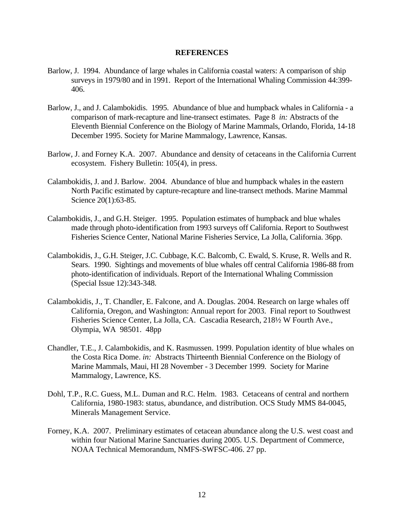## **REFERENCES**

- Barlow, J. 1994. Abundance of large whales in California coastal waters: A comparison of ship surveys in 1979/80 and in 1991. Report of the International Whaling Commission 44:399- 406.
- Barlow, J., and J. Calambokidis. 1995. Abundance of blue and humpback whales in California a comparison of mark-recapture and line-transect estimates. Page 8 *in:* Abstracts of the Eleventh Biennial Conference on the Biology of Marine Mammals, Orlando, Florida, 14-18 December 1995. Society for Marine Mammalogy, Lawrence, Kansas.
- Barlow, J. and Forney K.A. 2007. Abundance and density of cetaceans in the California Current ecosystem. Fishery Bulletin: 105(4), in press.
- Calambokidis, J. and J. Barlow. 2004. Abundance of blue and humpback whales in the eastern North Pacific estimated by capture-recapture and line-transect methods. Marine Mammal Science 20(1):63-85.
- Calambokidis, J., and G.H. Steiger. 1995. Population estimates of humpback and blue whales made through photo-identification from 1993 surveys off California. Report to Southwest Fisheries Science Center, National Marine Fisheries Service, La Jolla, California. 36pp.
- Calambokidis, J., G.H. Steiger, J.C. Cubbage, K.C. Balcomb, C. Ewald, S. Kruse, R. Wells and R. Sears. 1990. Sightings and movements of blue whales off central California 1986-88 from photo-identification of individuals. Report of the International Whaling Commission (Special Issue 12):343-348.
- Calambokidis, J., T. Chandler, E. Falcone, and A. Douglas. 2004. Research on large whales off California, Oregon, and Washington: Annual report for 2003. Final report to Southwest Fisheries Science Center, La Jolla, CA. Cascadia Research, 218½ W Fourth Ave., Olympia, WA 98501. 48pp
- Chandler, T.E., J. Calambokidis, and K. Rasmussen. 1999. Population identity of blue whales on the Costa Rica Dome. *in:* Abstracts Thirteenth Biennial Conference on the Biology of Marine Mammals, Maui, HI 28 November - 3 December 1999. Society for Marine Mammalogy, Lawrence, KS.
- Dohl, T.P., R.C. Guess, M.L. Duman and R.C. Helm. 1983. Cetaceans of central and northern California, 1980-1983: status, abundance, and distribution. OCS Study MMS 84-0045, Minerals Management Service.
- Forney, K.A. 2007. Preliminary estimates of cetacean abundance along the U.S. west coast and within four National Marine Sanctuaries during 2005. U.S. Department of Commerce, NOAA Technical Memorandum, NMFS-SWFSC-406. 27 pp.